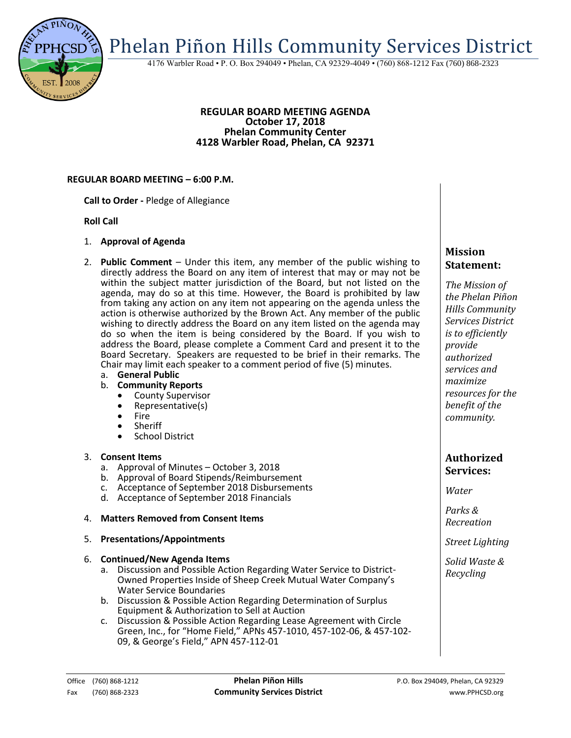

4176 Warbler Road • P. O. Box 294049 • Phelan, CA 92329-4049 • (760) 868-1212 Fax (760) 868-2323

### **REGULAR BOARD MEETING AGENDA October 17, 2018 Phelan Community Center 4128 Warbler Road, Phelan, CA 92371**

### **REGULAR BOARD MEETING – 6:00 P.M.**

**Call to Order -** Pledge of Allegiance

### **Roll Call**

- 1. **Approval of Agenda**
- 2. **Public Comment**  Under this item, any member of the public wishing to directly address the Board on any item of interest that may or may not be within the subject matter jurisdiction of the Board, but not listed on the agenda, may do so at this time. However, the Board is prohibited by law from taking any action on any item not appearing on the agenda unless the action is otherwise authorized by the Brown Act. Any member of the public wishing to directly address the Board on any item listed on the agenda may do so when the item is being considered by the Board. If you wish to address the Board, please complete a Comment Card and present it to the Board Secretary. Speakers are requested to be brief in their remarks. The Chair may limit each speaker to a comment period of five (5) minutes.
	- a. **General Public**
	- b. **Community Reports**
		- County Supervisor<br>• Representative(s)
		- Representative(s)
		- Fire<br>• Sher
		- Sheriff
		- School District

## 3. **Consent Items**

- a. Approval of Minutes October 3, 2018
- b. Approval of Board Stipends/Reimbursement
- c. Acceptance of September 2018 Disbursements
- d. Acceptance of September 2018 Financials

## 4. **Matters Removed from Consent Items**

### 5. **Presentations/Appointments**

### 6. **Continued/New Agenda Items**

- a. Discussion and Possible Action Regarding Water Service to District-Owned Properties Inside of Sheep Creek Mutual Water Company's Water Service Boundaries
- b. Discussion & Possible Action Regarding Determination of Surplus Equipment & Authorization to Sell at Auction
- c. Discussion & Possible Action Regarding Lease Agreement with Circle Green, Inc., for "Home Field," APNs 457-1010, 457-102-06, & 457-102- 09, & George's Field," APN 457-112-01

# **Mission Statement:**

*The Mission of the Phelan Piñon Hills Community Services District is to efficiently provide authorized services and maximize resources for the benefit of the community.*

## **Authorized Services:**

*Water*

*Parks & Recreation*

*Street Lighting*

*Solid Waste & Recycling*